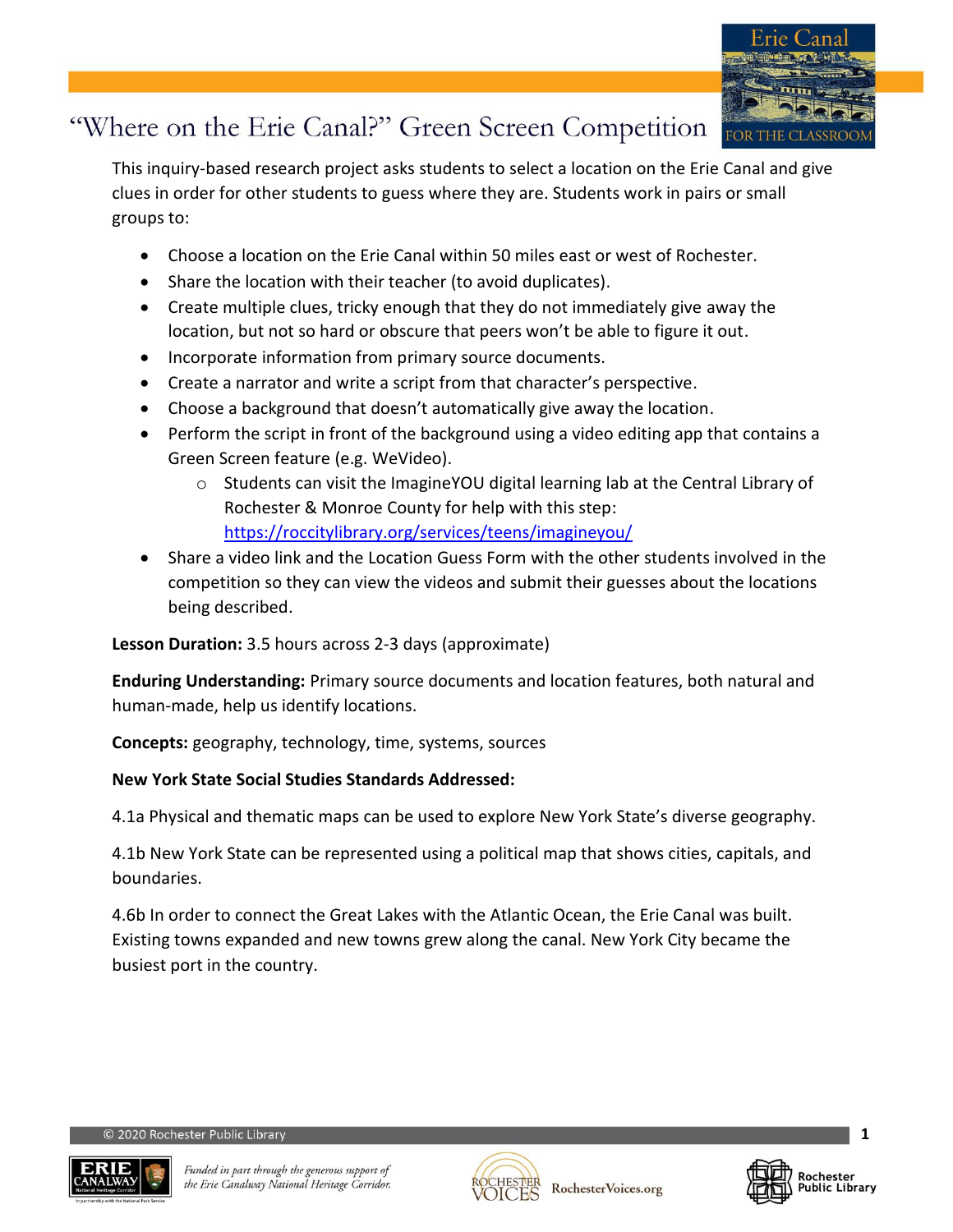

This inquiry-based research project asks students to select a location on the Erie Canal and give clues in order for other students to guess where they are. Students work in pairs or small groups to:

- Choose a location on the Erie Canal within 50 miles east or west of Rochester.
- Share the location with their teacher (to avoid duplicates).
- Create multiple clues, tricky enough that they do not immediately give away the location, but not so hard or obscure that peers won't be able to figure it out.
- Incorporate information from primary source documents.
- Create a narrator and write a script from that character's perspective.
- Choose a background that doesn't automatically give away the location.
- Perform the script in front of the background using a video editing app that contains a Green Screen feature (e.g. WeVideo).
	- $\circ$  Students can visit the ImagineYOU digital learning lab at the Central Library of Rochester & Monroe County for help with this step: <https://roccitylibrary.org/services/teens/imagineyou/>
- Share a video link and the Location Guess Form with the other students involved in the competition so they can view the videos and submit their guesses about the locations being described.

**Lesson Duration:** 3.5 hours across 2-3 days (approximate)

**Enduring Understanding:** Primary source documents and location features, both natural and human-made, help us identify locations.

**Concepts:** geography, technology, time, systems, sources

### **New York State Social Studies Standards Addressed:**

4.1a Physical and thematic maps can be used to explore New York State's diverse geography.

4.1b New York State can be represented using a political map that shows cities, capitals, and boundaries.

4.6b In order to connect the Great Lakes with the Atlantic Ocean, the Erie Canal was built. Existing towns expanded and new towns grew along the canal. New York City became the busiest port in the country.





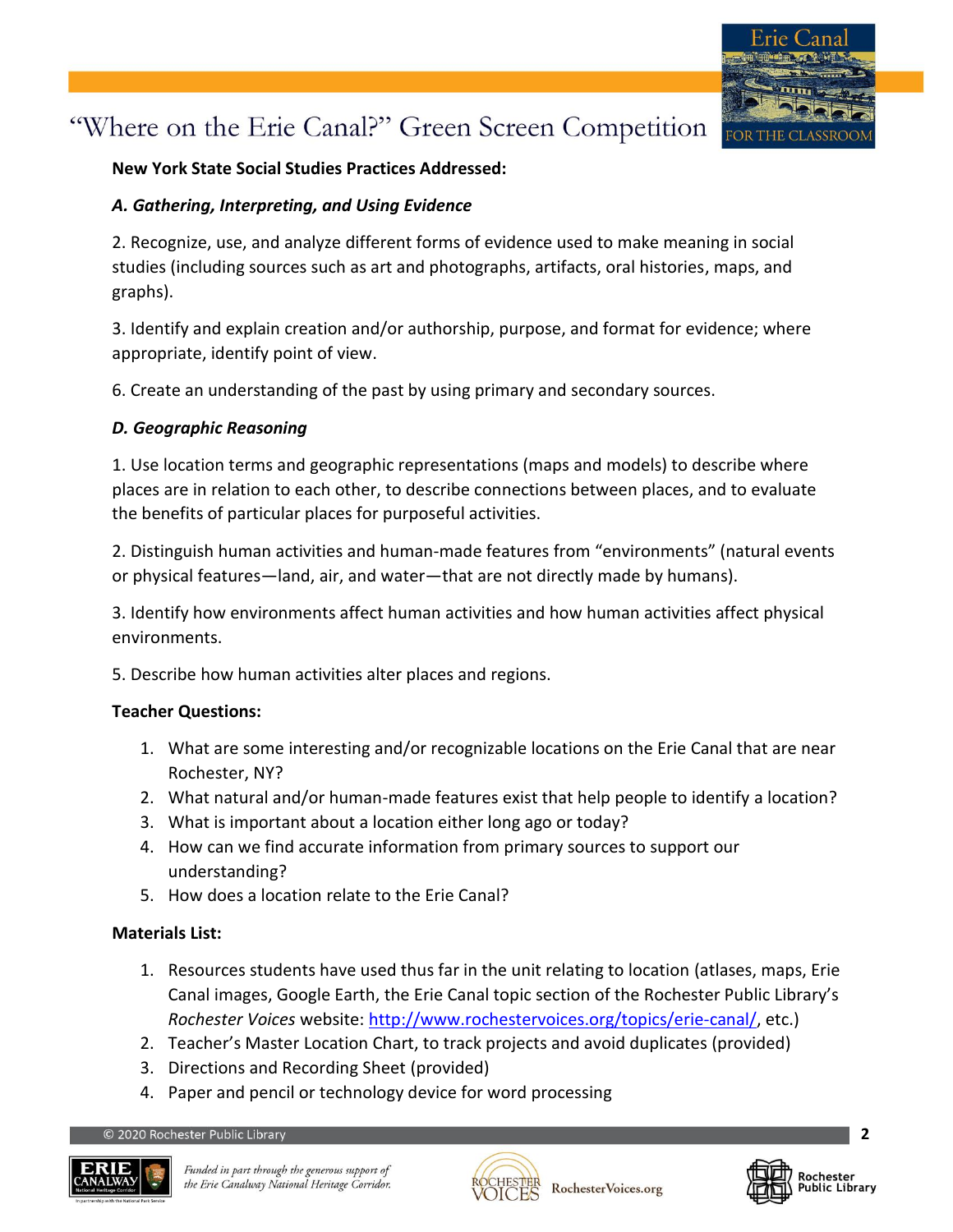

#### **New York State Social Studies Practices Addressed:**

#### *A. Gathering, Interpreting, and Using Evidence*

2. Recognize, use, and analyze different forms of evidence used to make meaning in social studies (including sources such as art and photographs, artifacts, oral histories, maps, and graphs).

3. Identify and explain creation and/or authorship, purpose, and format for evidence; where appropriate, identify point of view.

6. Create an understanding of the past by using primary and secondary sources.

### *D. Geographic Reasoning*

1. Use location terms and geographic representations (maps and models) to describe where places are in relation to each other, to describe connections between places, and to evaluate the benefits of particular places for purposeful activities.

2. Distinguish human activities and human-made features from "environments" (natural events or physical features—land, air, and water—that are not directly made by humans).

3. Identify how environments affect human activities and how human activities affect physical environments.

5. Describe how human activities alter places and regions.

#### **Teacher Questions:**

- 1. What are some interesting and/or recognizable locations on the Erie Canal that are near Rochester, NY?
- 2. What natural and/or human-made features exist that help people to identify a location?
- 3. What is important about a location either long ago or today?
- 4. How can we find accurate information from primary sources to support our understanding?
- 5. How does a location relate to the Erie Canal?

#### **Materials List:**

- 1. Resources students have used thus far in the unit relating to location (atlases, maps, Erie Canal images, Google Earth, the Erie Canal topic section of the Rochester Public Library's *Rochester Voices* website: [http://www.rochestervoices.org/topics/erie-canal/,](http://www.rochestervoices.org/topics/erie-canal/) etc.)
- 2. Teacher's Master Location Chart, to track projects and avoid duplicates (provided)
- 3. Directions and Recording Sheet (provided)
- 4. Paper and pencil or technology device for word processing





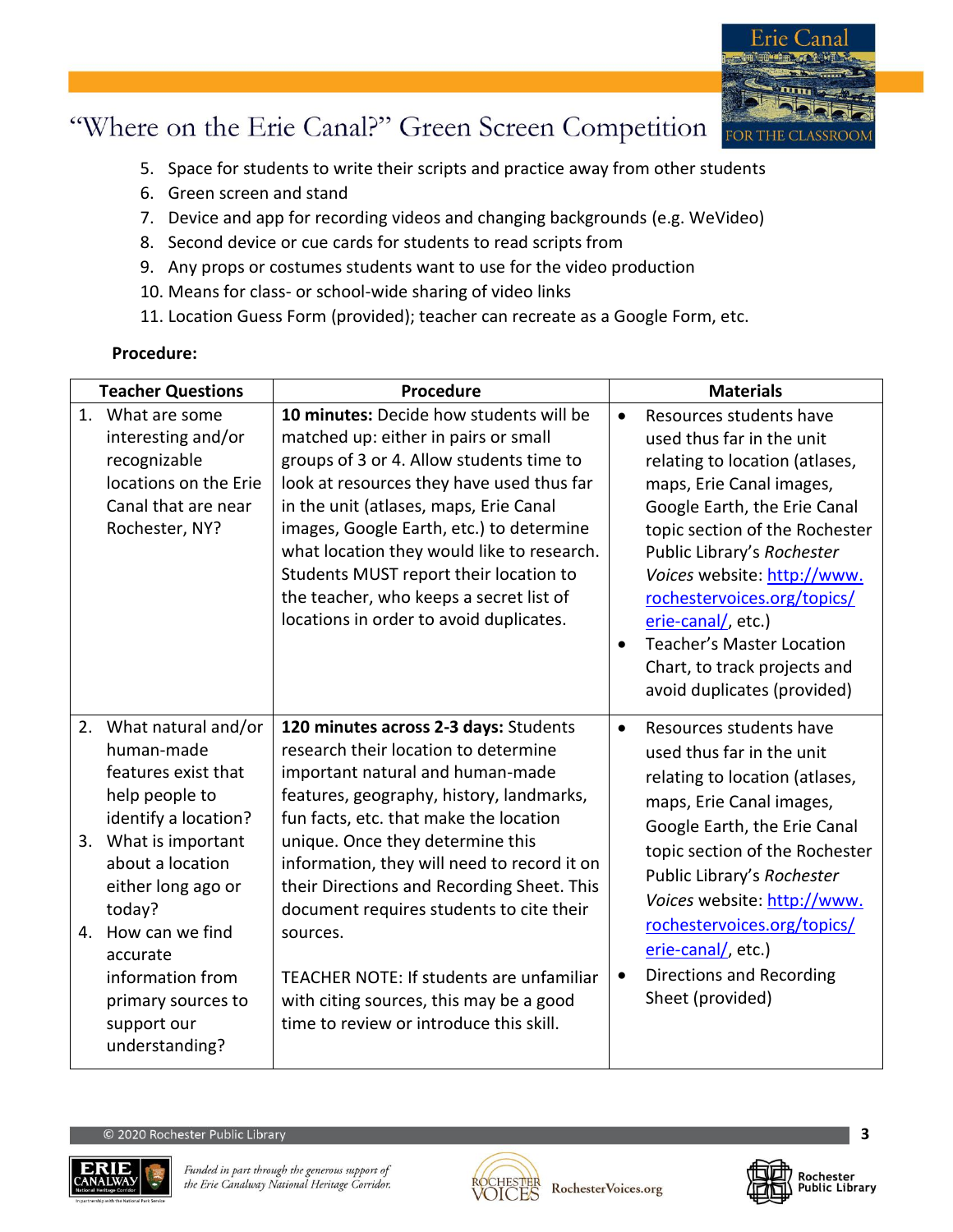

- 5. Space for students to write their scripts and practice away from other students
- 6. Green screen and stand
- 7. Device and app for recording videos and changing backgrounds (e.g. WeVideo)
- 8. Second device or cue cards for students to read scripts from
- 9. Any props or costumes students want to use for the video production
- 10. Means for class- or school-wide sharing of video links
- 11. Location Guess Form (provided); teacher can recreate as a Google Form, etc.

#### **Procedure:**

| <b>Teacher Questions</b>                                                                                                                                                                                                                                                                       | Procedure                                                                                                                                                                                                                                                                                                                                                                                                                                                                                                                          | <b>Materials</b>                                                                                                                                                                                                                                                                                                                                                                                                       |
|------------------------------------------------------------------------------------------------------------------------------------------------------------------------------------------------------------------------------------------------------------------------------------------------|------------------------------------------------------------------------------------------------------------------------------------------------------------------------------------------------------------------------------------------------------------------------------------------------------------------------------------------------------------------------------------------------------------------------------------------------------------------------------------------------------------------------------------|------------------------------------------------------------------------------------------------------------------------------------------------------------------------------------------------------------------------------------------------------------------------------------------------------------------------------------------------------------------------------------------------------------------------|
| 1. What are some<br>interesting and/or<br>recognizable<br>locations on the Erie<br>Canal that are near<br>Rochester, NY?                                                                                                                                                                       | 10 minutes: Decide how students will be<br>matched up: either in pairs or small<br>groups of 3 or 4. Allow students time to<br>look at resources they have used thus far<br>in the unit (atlases, maps, Erie Canal<br>images, Google Earth, etc.) to determine<br>what location they would like to research.<br>Students MUST report their location to<br>the teacher, who keeps a secret list of<br>locations in order to avoid duplicates.                                                                                       | Resources students have<br>$\bullet$<br>used thus far in the unit<br>relating to location (atlases,<br>maps, Erie Canal images,<br>Google Earth, the Erie Canal<br>topic section of the Rochester<br>Public Library's Rochester<br>Voices website: http://www.<br>rochestervoices.org/topics/<br>erie-canal/, etc.)<br><b>Teacher's Master Location</b><br>Chart, to track projects and<br>avoid duplicates (provided) |
| 2. What natural and/or<br>human-made<br>features exist that<br>help people to<br>identify a location?<br>3. What is important<br>about a location<br>either long ago or<br>today?<br>4. How can we find<br>accurate<br>information from<br>primary sources to<br>support our<br>understanding? | 120 minutes across 2-3 days: Students<br>research their location to determine<br>important natural and human-made<br>features, geography, history, landmarks,<br>fun facts, etc. that make the location<br>unique. Once they determine this<br>information, they will need to record it on<br>their Directions and Recording Sheet. This<br>document requires students to cite their<br>sources.<br>TEACHER NOTE: If students are unfamiliar<br>with citing sources, this may be a good<br>time to review or introduce this skill. | Resources students have<br>$\bullet$<br>used thus far in the unit<br>relating to location (atlases,<br>maps, Erie Canal images,<br>Google Earth, the Erie Canal<br>topic section of the Rochester<br>Public Library's Rochester<br>Voices website: http://www.<br>rochestervoices.org/topics/<br>erie-canal/, etc.)<br>Directions and Recording<br>Sheet (provided)                                                    |





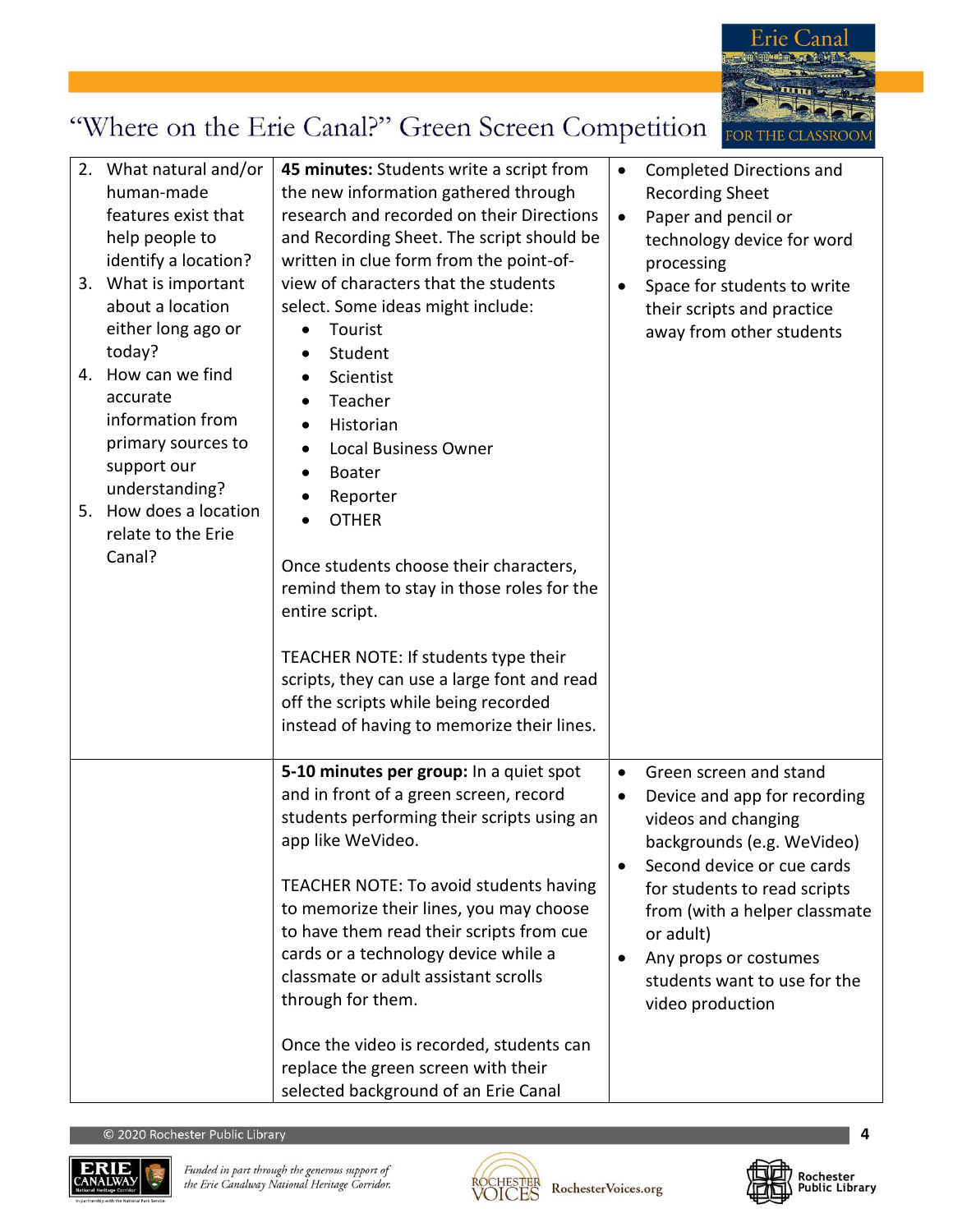

| 2. What natural and/or<br>human-made<br>features exist that<br>help people to<br>identify a location?<br>3. What is important<br>about a location<br>either long ago or<br>today?<br>4. How can we find<br>accurate<br>information from<br>primary sources to<br>support our<br>understanding?<br>5. How does a location<br>relate to the Erie<br>Canal? | 45 minutes: Students write a script from<br>the new information gathered through<br>research and recorded on their Directions<br>and Recording Sheet. The script should be<br>written in clue form from the point-of-<br>view of characters that the students<br>select. Some ideas might include:<br>Tourist<br>Student<br>Scientist<br>$\bullet$<br>Teacher<br>$\bullet$<br>Historian<br><b>Local Business Owner</b><br>$\bullet$<br><b>Boater</b><br>$\bullet$<br>Reporter<br><b>OTHER</b><br>Once students choose their characters,<br>remind them to stay in those roles for the<br>entire script.<br>TEACHER NOTE: If students type their<br>scripts, they can use a large font and read<br>off the scripts while being recorded<br>instead of having to memorize their lines. | $\bullet$<br>$\bullet$<br>$\bullet$              | <b>Completed Directions and</b><br><b>Recording Sheet</b><br>Paper and pencil or<br>technology device for word<br>processing<br>Space for students to write<br>their scripts and practice<br>away from other students                                                                                |
|----------------------------------------------------------------------------------------------------------------------------------------------------------------------------------------------------------------------------------------------------------------------------------------------------------------------------------------------------------|--------------------------------------------------------------------------------------------------------------------------------------------------------------------------------------------------------------------------------------------------------------------------------------------------------------------------------------------------------------------------------------------------------------------------------------------------------------------------------------------------------------------------------------------------------------------------------------------------------------------------------------------------------------------------------------------------------------------------------------------------------------------------------------|--------------------------------------------------|------------------------------------------------------------------------------------------------------------------------------------------------------------------------------------------------------------------------------------------------------------------------------------------------------|
|                                                                                                                                                                                                                                                                                                                                                          | 5-10 minutes per group: In a quiet spot<br>and in front of a green screen, record<br>students performing their scripts using an<br>app like WeVideo.<br>TEACHER NOTE: To avoid students having<br>to memorize their lines, you may choose<br>to have them read their scripts from cue<br>cards or a technology device while a<br>classmate or adult assistant scrolls<br>through for them.                                                                                                                                                                                                                                                                                                                                                                                           | $\bullet$<br>$\bullet$<br>$\bullet$<br>$\bullet$ | Green screen and stand<br>Device and app for recording<br>videos and changing<br>backgrounds (e.g. WeVideo)<br>Second device or cue cards<br>for students to read scripts<br>from (with a helper classmate<br>or adult)<br>Any props or costumes<br>students want to use for the<br>video production |
|                                                                                                                                                                                                                                                                                                                                                          | Once the video is recorded, students can<br>replace the green screen with their<br>selected background of an Erie Canal                                                                                                                                                                                                                                                                                                                                                                                                                                                                                                                                                                                                                                                              |                                                  |                                                                                                                                                                                                                                                                                                      |





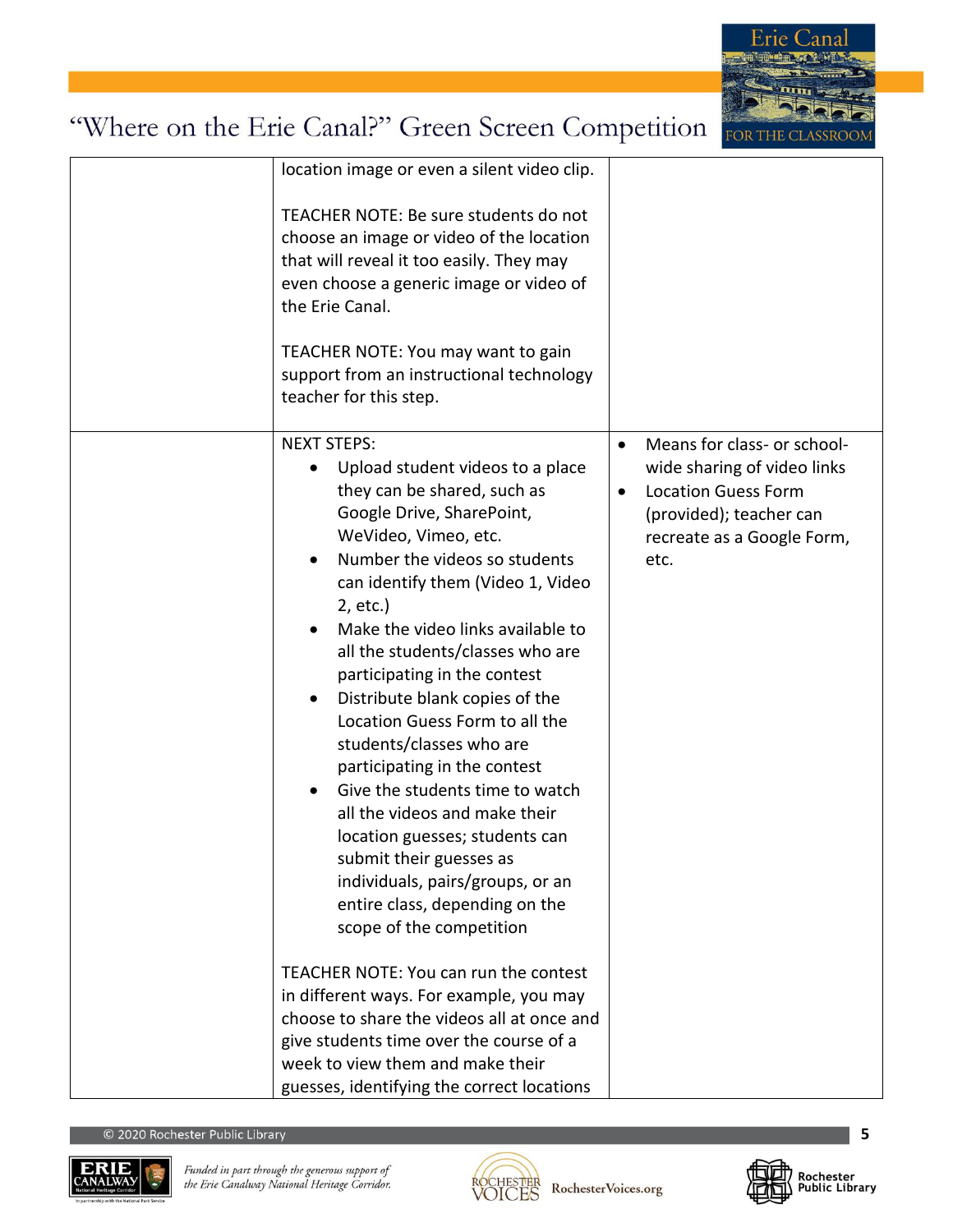

| location image or even a silent video clip.                                                                                                                                                                                                                                                                                                                                                                                                                                                                                                                                                                                                                                                              |                                                                                                                                                                                     |
|----------------------------------------------------------------------------------------------------------------------------------------------------------------------------------------------------------------------------------------------------------------------------------------------------------------------------------------------------------------------------------------------------------------------------------------------------------------------------------------------------------------------------------------------------------------------------------------------------------------------------------------------------------------------------------------------------------|-------------------------------------------------------------------------------------------------------------------------------------------------------------------------------------|
| TEACHER NOTE: Be sure students do not<br>choose an image or video of the location<br>that will reveal it too easily. They may<br>even choose a generic image or video of<br>the Erie Canal.                                                                                                                                                                                                                                                                                                                                                                                                                                                                                                              |                                                                                                                                                                                     |
| TEACHER NOTE: You may want to gain<br>support from an instructional technology<br>teacher for this step.                                                                                                                                                                                                                                                                                                                                                                                                                                                                                                                                                                                                 |                                                                                                                                                                                     |
| <b>NEXT STEPS:</b><br>Upload student videos to a place<br>they can be shared, such as<br>Google Drive, SharePoint,<br>WeVideo, Vimeo, etc.<br>Number the videos so students<br>can identify them (Video 1, Video<br>2, etc.)<br>Make the video links available to<br>all the students/classes who are<br>participating in the contest<br>Distribute blank copies of the<br>Location Guess Form to all the<br>students/classes who are<br>participating in the contest<br>Give the students time to watch<br>all the videos and make their<br>location guesses; students can<br>submit their guesses as<br>individuals, pairs/groups, or an<br>entire class, depending on the<br>scope of the competition | Means for class- or school-<br>$\bullet$<br>wide sharing of video links<br><b>Location Guess Form</b><br>$\bullet$<br>(provided); teacher can<br>recreate as a Google Form,<br>etc. |
| TEACHER NOTE: You can run the contest<br>in different ways. For example, you may                                                                                                                                                                                                                                                                                                                                                                                                                                                                                                                                                                                                                         |                                                                                                                                                                                     |
| choose to share the videos all at once and                                                                                                                                                                                                                                                                                                                                                                                                                                                                                                                                                                                                                                                               |                                                                                                                                                                                     |
| give students time over the course of a                                                                                                                                                                                                                                                                                                                                                                                                                                                                                                                                                                                                                                                                  |                                                                                                                                                                                     |
| week to view them and make their                                                                                                                                                                                                                                                                                                                                                                                                                                                                                                                                                                                                                                                                         |                                                                                                                                                                                     |
| guesses, identifying the correct locations                                                                                                                                                                                                                                                                                                                                                                                                                                                                                                                                                                                                                                                               |                                                                                                                                                                                     |



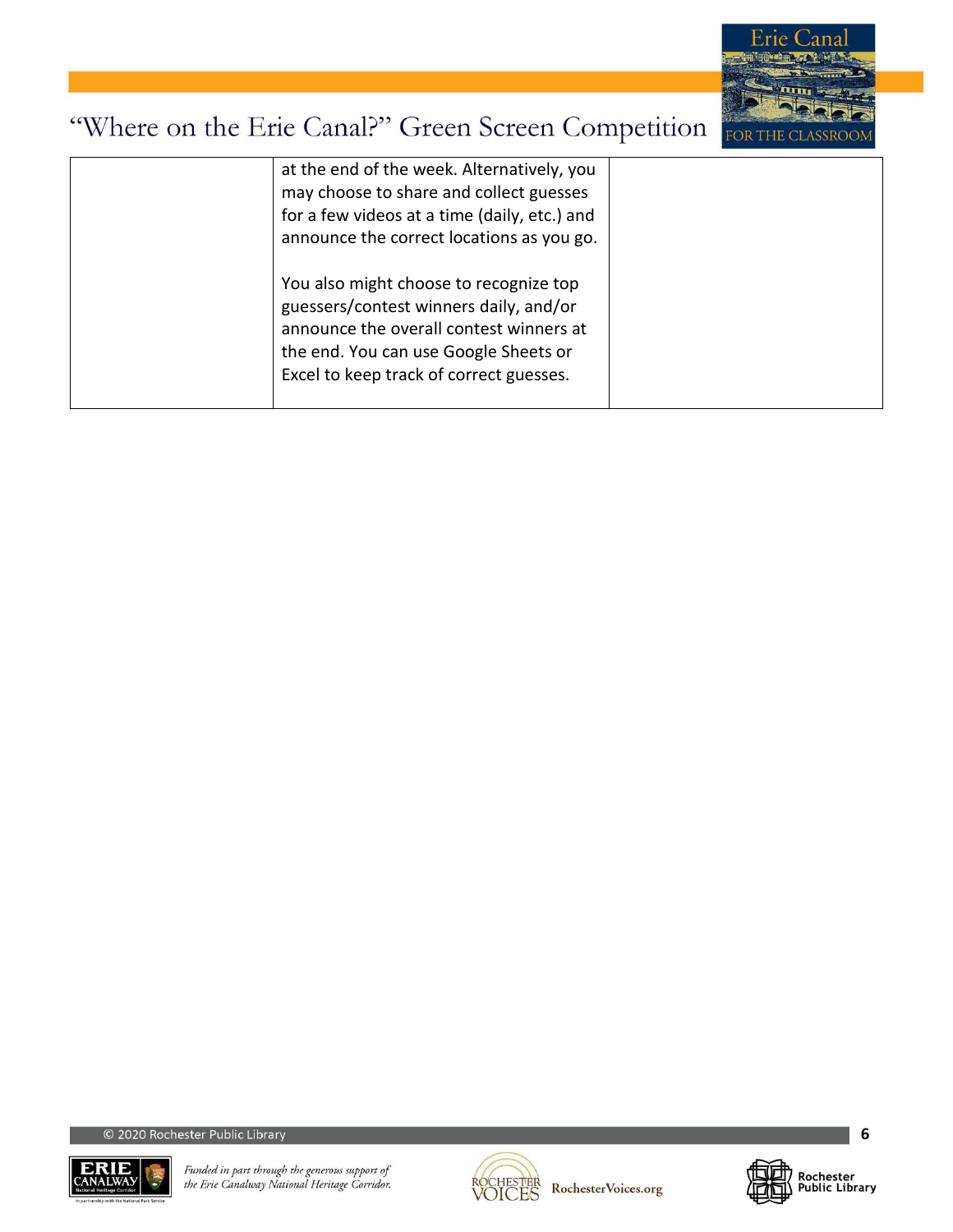

| at the end of the week. Alternatively, you<br>may choose to share and collect guesses<br>for a few videos at a time (daily, etc.) and<br>announce the correct locations as you go.                              |  |
|-----------------------------------------------------------------------------------------------------------------------------------------------------------------------------------------------------------------|--|
| You also might choose to recognize top<br>guessers/contest winners daily, and/or<br>announce the overall contest winners at<br>the end. You can use Google Sheets or<br>Excel to keep track of correct guesses. |  |





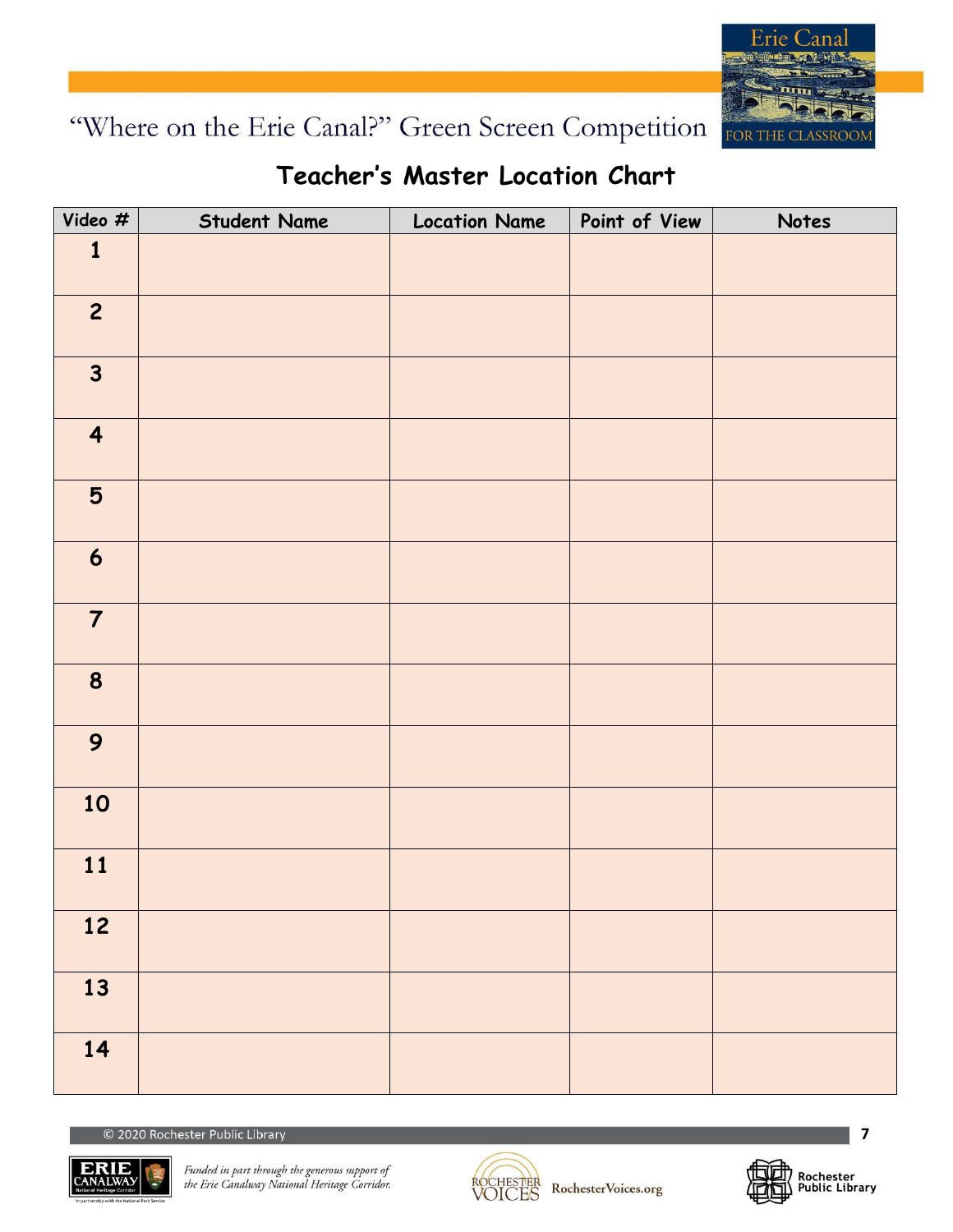

### **Teacher's Master Location Chart**

| Video #                 | <b>Student Name</b> | <b>Location Name</b> | Point of View | Notes |
|-------------------------|---------------------|----------------------|---------------|-------|
| $\mathbf{1}$            |                     |                      |               |       |
| $\overline{c}$          |                     |                      |               |       |
| $\mathbf{3}$            |                     |                      |               |       |
| $\overline{\mathbf{4}}$ |                     |                      |               |       |
| 5                       |                     |                      |               |       |
| $\boldsymbol{6}$        |                     |                      |               |       |
| $\overline{7}$          |                     |                      |               |       |
| 8                       |                     |                      |               |       |
| 9                       |                     |                      |               |       |
| 10                      |                     |                      |               |       |
| 11                      |                     |                      |               |       |
| 12                      |                     |                      |               |       |
| 13                      |                     |                      |               |       |
| 14                      |                     |                      |               |       |





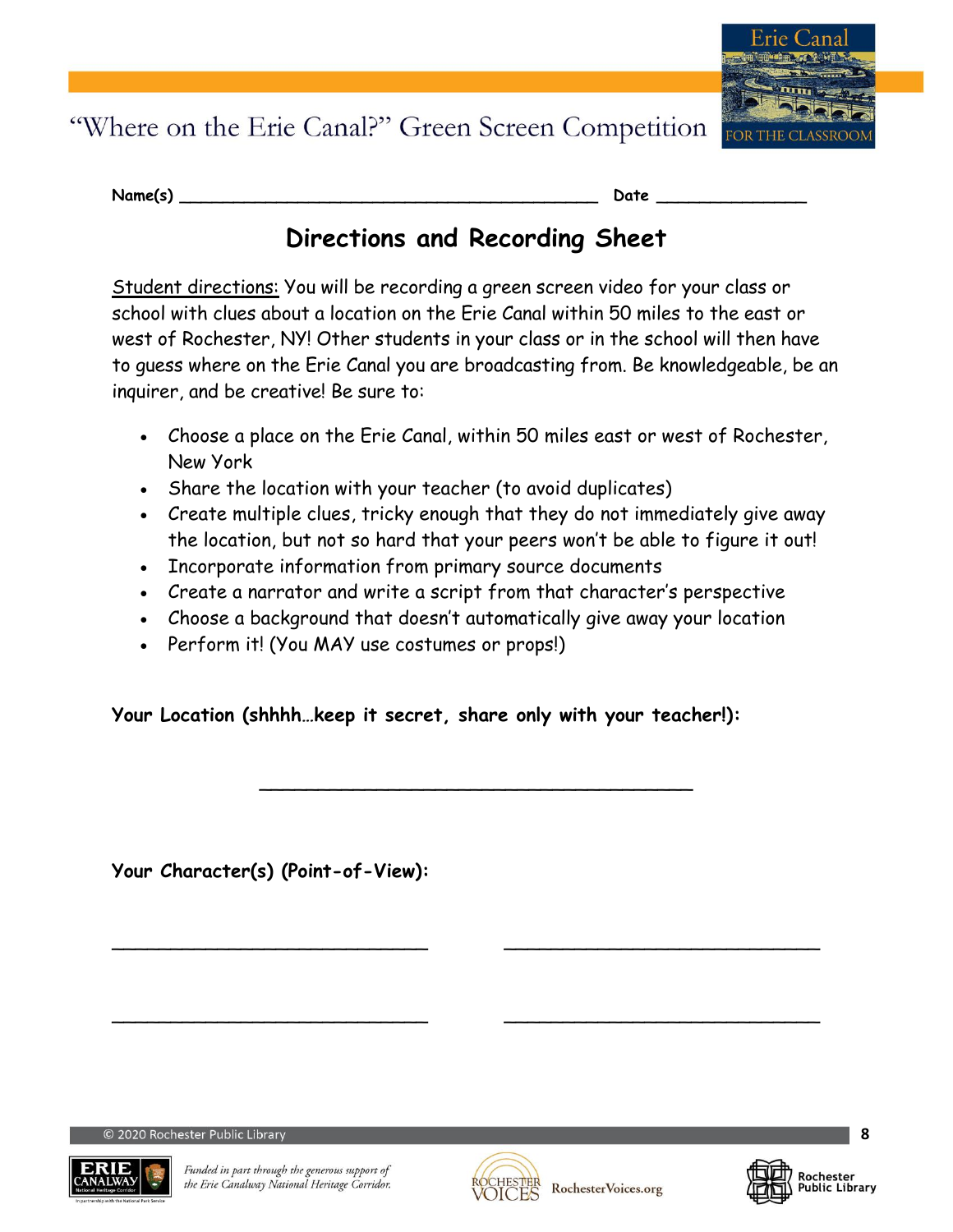

| Name(s) |  |
|---------|--|
|         |  |

**Name(s)** \_\_\_\_\_\_\_\_\_\_\_\_\_\_\_\_\_\_\_\_\_\_\_\_\_\_\_\_\_\_\_\_\_\_\_\_\_\_\_ **Date** \_\_\_\_\_\_\_\_\_\_\_\_\_\_

### **Directions and Recording Sheet**

Student directions: You will be recording a green screen video for your class or school with clues about a location on the Erie Canal within 50 miles to the east or west of Rochester, NY! Other students in your class or in the school will then have to guess where on the Erie Canal you are broadcasting from. Be knowledgeable, be an inquirer, and be creative! Be sure to:

- Choose a place on the Erie Canal, within 50 miles east or west of Rochester, New York
- Share the location with your teacher (to avoid duplicates)
- Create multiple clues, tricky enough that they do not immediately give away the location, but not so hard that your peers won't be able to figure it out!
- Incorporate information from primary source documents
- Create a narrator and write a script from that character's perspective
- Choose a background that doesn't automatically give away your location

\_\_\_\_\_\_\_\_\_\_\_\_\_\_\_\_\_\_\_\_\_\_\_\_\_\_\_\_\_\_\_\_\_\_\_\_\_

 $\blacksquare$ 

 $\blacksquare$ 

• Perform it! (You MAY use costumes or props!)

**Your Location (shhhh***…***keep it secret, share only with your teacher!):** 

**Your Character(s) (Point-of-View):**





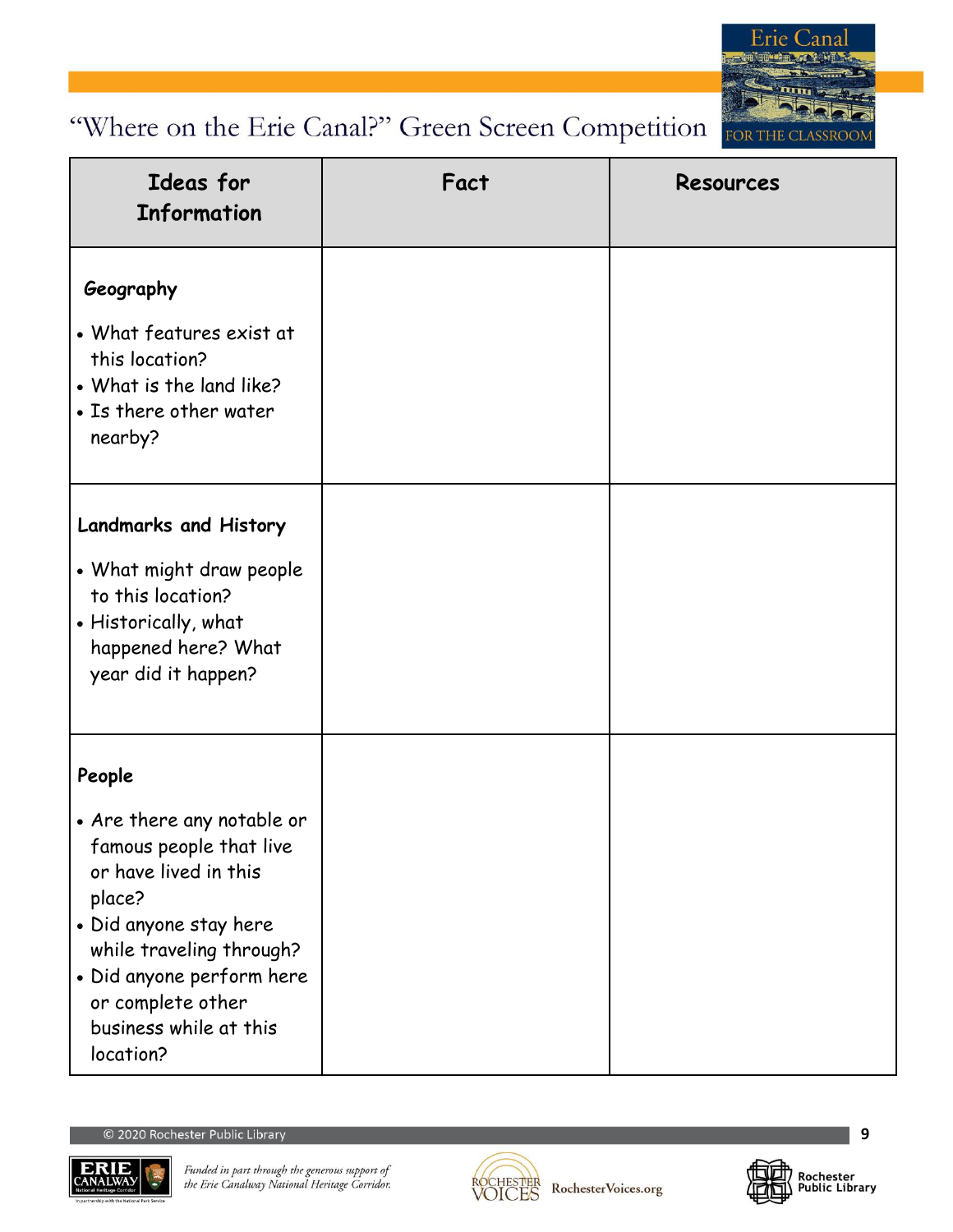

| Ideas for<br><b>Information</b>                                                                                                                                                                                                                   | Fact | <b>Resources</b> |
|---------------------------------------------------------------------------------------------------------------------------------------------------------------------------------------------------------------------------------------------------|------|------------------|
| Geography<br>• What features exist at<br>this location?<br>• What is the land like?<br>• Is there other water<br>nearby?                                                                                                                          |      |                  |
| <b>Landmarks and History</b><br>• What might draw people<br>to this location?<br>• Historically, what<br>happened here? What<br>year did it happen?                                                                                               |      |                  |
| People<br>• Are there any notable or<br>famous people that live<br>or have lived in this<br>place?<br>• Did anyone stay here<br>while traveling through?<br>· Did anyone perform here<br>or complete other<br>business while at this<br>location? |      |                  |





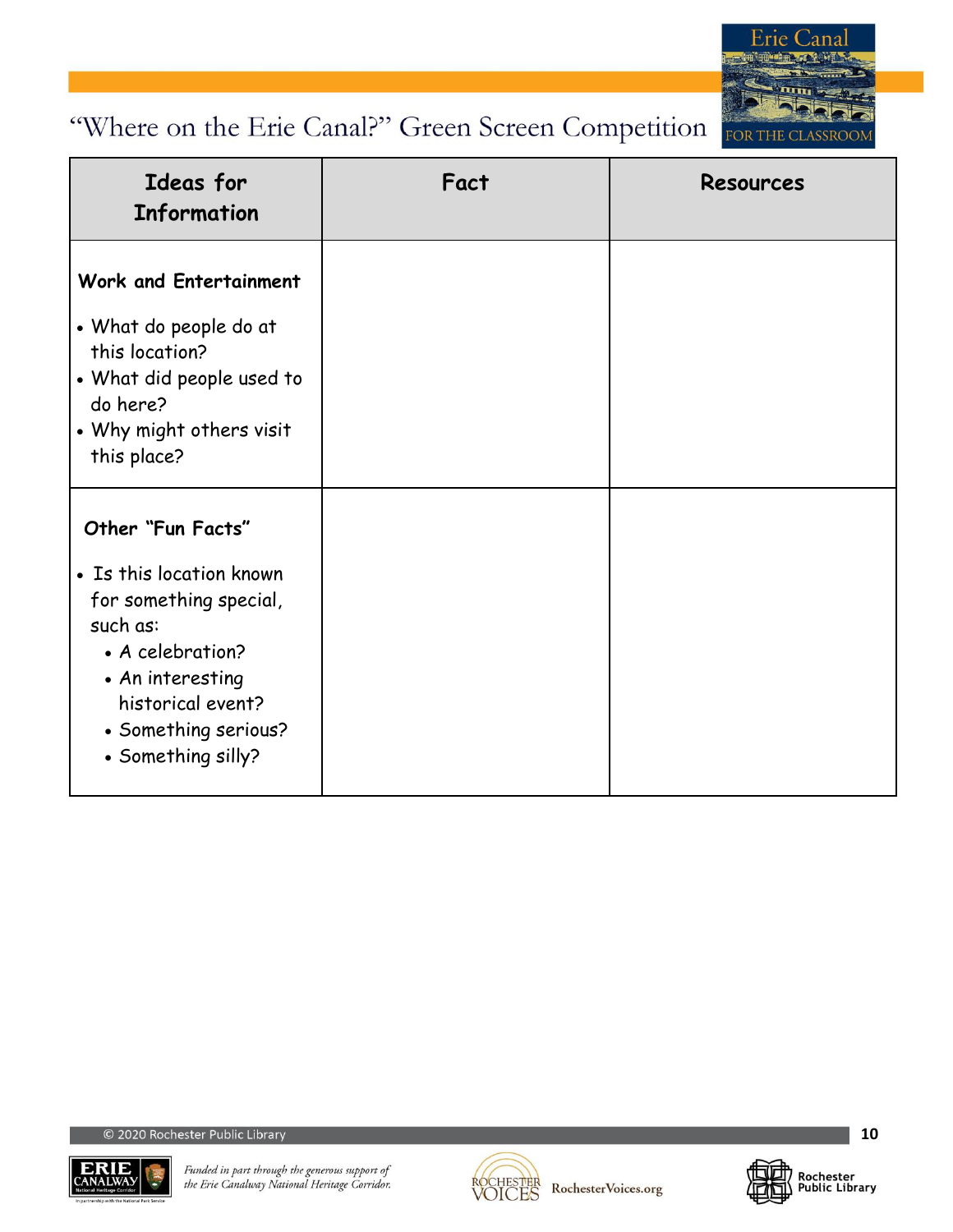

| Ideas for<br><b>Information</b>                                                                                                                                                                | Fact | <b>Resources</b> |
|------------------------------------------------------------------------------------------------------------------------------------------------------------------------------------------------|------|------------------|
| Work and Entertainment<br>• What do people do at<br>this location?<br>• What did people used to<br>do here?<br>• Why might others visit<br>this place?                                         |      |                  |
| Other "Fun Facts"<br>• Is this location known<br>for something special,<br>such as:<br>• A celebration?<br>• An interesting<br>historical event?<br>• Something serious?<br>• Something silly? |      |                  |